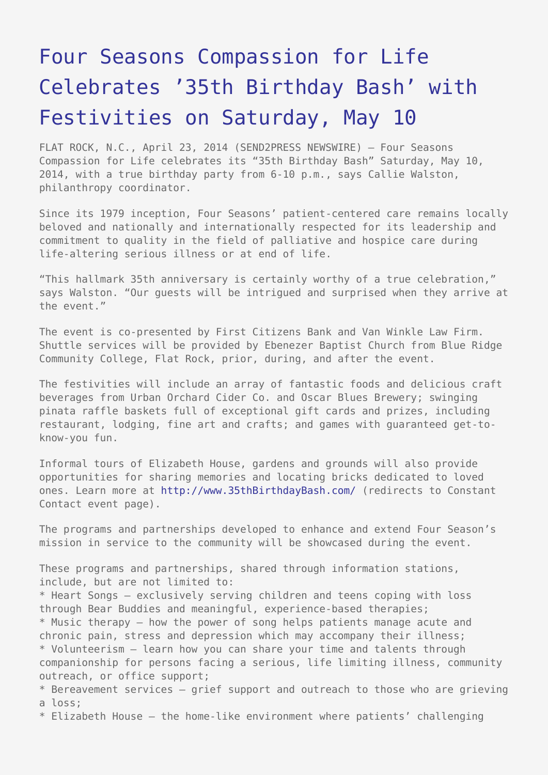## [Four Seasons Compassion for Life](https://www.send2press.com/wire/four-seasons-compassion-for-life-celebrates-35th-birthday-bash-with-festivities-on-saturday-may-10_2014-04-0423-002/) [Celebrates '35th Birthday Bash' with](https://www.send2press.com/wire/four-seasons-compassion-for-life-celebrates-35th-birthday-bash-with-festivities-on-saturday-may-10_2014-04-0423-002/) [Festivities on Saturday, May 10](https://www.send2press.com/wire/four-seasons-compassion-for-life-celebrates-35th-birthday-bash-with-festivities-on-saturday-may-10_2014-04-0423-002/)

FLAT ROCK, N.C., April 23, 2014 (SEND2PRESS NEWSWIRE) — Four Seasons Compassion for Life celebrates its "35th Birthday Bash" Saturday, May 10, 2014, with a true birthday party from 6-10 p.m., says Callie Walston, philanthropy coordinator.

Since its 1979 inception, Four Seasons' patient-centered care remains locally beloved and nationally and internationally respected for its leadership and commitment to quality in the field of palliative and hospice care during life-altering serious illness or at end of life.

"This hallmark 35th anniversary is certainly worthy of a true celebration," says Walston. "Our guests will be intrigued and surprised when they arrive at the event."

The event is co-presented by First Citizens Bank and Van Winkle Law Firm. Shuttle services will be provided by Ebenezer Baptist Church from Blue Ridge Community College, Flat Rock, prior, during, and after the event.

The festivities will include an array of fantastic foods and delicious craft beverages from Urban Orchard Cider Co. and Oscar Blues Brewery; swinging pinata raffle baskets full of exceptional gift cards and prizes, including restaurant, lodging, fine art and crafts; and games with guaranteed get-toknow-you fun.

Informal tours of Elizabeth House, gardens and grounds will also provide opportunities for sharing memories and locating bricks dedicated to loved ones. Learn more at <http://www.35thBirthdayBash.com/>(redirects to Constant Contact event page).

The programs and partnerships developed to enhance and extend Four Season's mission in service to the community will be showcased during the event.

These programs and partnerships, shared through information stations, include, but are not limited to:

\* Heart Songs – exclusively serving children and teens coping with loss through Bear Buddies and meaningful, experience-based therapies; \* Music therapy – how the power of song helps patients manage acute and chronic pain, stress and depression which may accompany their illness; \* Volunteerism – learn how you can share your time and talents through companionship for persons facing a serious, life limiting illness, community outreach, or office support;

\* Bereavement services – grief support and outreach to those who are grieving a loss;

\* Elizabeth House – the home-like environment where patients' challenging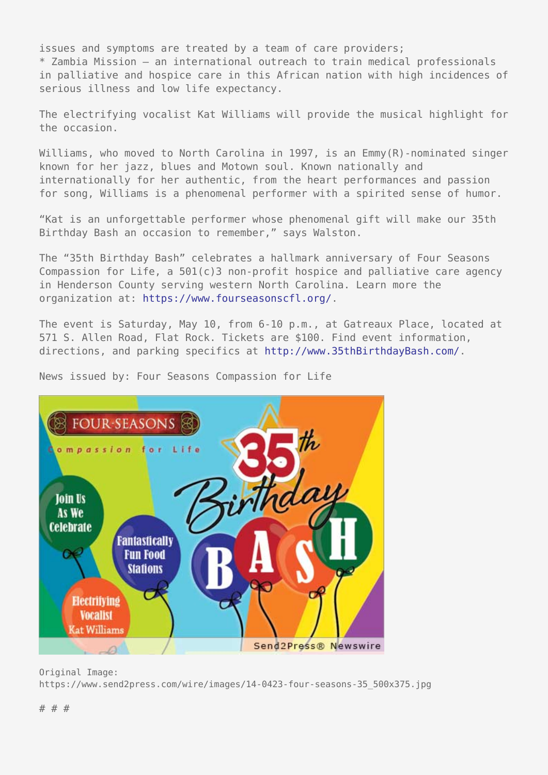issues and symptoms are treated by a team of care providers; \* Zambia Mission – an international outreach to train medical professionals in palliative and hospice care in this African nation with high incidences of serious illness and low life expectancy.

The electrifying vocalist Kat Williams will provide the musical highlight for the occasion.

Williams, who moved to North Carolina in 1997, is an Emmy(R)-nominated singer known for her jazz, blues and Motown soul. Known nationally and internationally for her authentic, from the heart performances and passion for song, Williams is a phenomenal performer with a spirited sense of humor.

"Kat is an unforgettable performer whose phenomenal gift will make our 35th Birthday Bash an occasion to remember," says Walston.

The "35th Birthday Bash" celebrates a hallmark anniversary of Four Seasons Compassion for Life, a  $501(c)3$  non-profit hospice and palliative care agency in Henderson County serving western North Carolina. Learn more the organization at:<https://www.fourseasonscfl.org/>.

The event is Saturday, May 10, from 6-10 p.m., at Gatreaux Place, located at 571 S. Allen Road, Flat Rock. Tickets are \$100. Find event information, directions, and parking specifics at <http://www.35thBirthdayBash.com/>.



News issued by: Four Seasons Compassion for Life

Original Image: https://www.send2press.com/wire/images/14-0423-four-seasons-35\_500x375.jpg